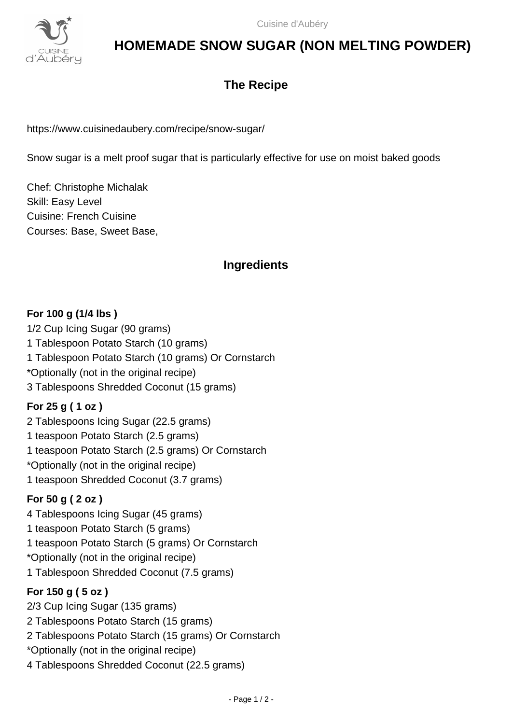

# **HOMEMADE SNOW SUGAR (NON MELTING POWDER)**

## **The Recipe**

https://www.cuisinedaubery.com/recipe/snow-sugar/

Snow sugar is a melt proof sugar that is particularly effective for use on moist baked goods

Chef: Christophe Michalak Skill: Easy Level Cuisine: French Cuisine Courses: Base, Sweet Base,

## **Ingredients**

#### **For 100 g (1/4 lbs )**

1/2 Cup Icing Sugar (90 grams) 1 Tablespoon Potato Starch (10 grams) 1 Tablespoon Potato Starch (10 grams) Or Cornstarch \*Optionally (not in the original recipe) 3 Tablespoons Shredded Coconut (15 grams)

#### **For 25 g ( 1 oz )**

2 Tablespoons Icing Sugar (22.5 grams) 1 teaspoon Potato Starch (2.5 grams) 1 teaspoon Potato Starch (2.5 grams) Or Cornstarch \*Optionally (not in the original recipe) 1 teaspoon Shredded Coconut (3.7 grams)

## **For 50 g ( 2 oz )**

4 Tablespoons Icing Sugar (45 grams) 1 teaspoon Potato Starch (5 grams) 1 teaspoon Potato Starch (5 grams) Or Cornstarch \*Optionally (not in the original recipe) 1 Tablespoon Shredded Coconut (7.5 grams)

## **For 150 g ( 5 oz )**

2/3 Cup Icing Sugar (135 grams) 2 Tablespoons Potato Starch (15 grams) 2 Tablespoons Potato Starch (15 grams) Or Cornstarch \*Optionally (not in the original recipe) 4 Tablespoons Shredded Coconut (22.5 grams)